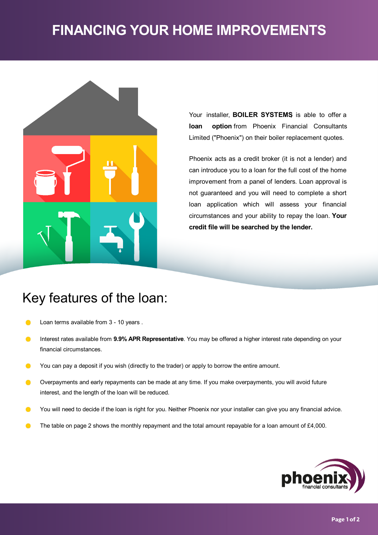# **FINANCING YOUR HOME IMPROVEMENTS**



Your installer, **BOILER SYSTEMS**, is able to offer a **loan option** from Phoenix Financial Consultants Limited ("Phoenix") on their boiler replacement quotes.

Phoenix acts as a credit broker (it is not a lender) and can introduce you to a loan for the full cost of the home improvement from a panel of lenders. Loan approval is not guaranteed and you will need to complete a short loan application which will assess your financial circumstances and your ability to repay the loan. **Your credit file will be searched by the lender.**

## Key features of the loan:

- Loan terms available from 3- 10 years .  $\bullet$
- Interest rates available from **9.9% APR Representative**. You may be offered a higher interest rate depending on your  $\bullet$ financial circumstances.
- $\bullet$ You can pay a deposit if you wish (directly to the trader) or apply to borrow the entire amount.
- $\bullet$ Overpayments and early repayments can be made at any time. If you make overpayments, you will avoid future interest, and the length of the loan will be reduced.
- You will need to decide if the loan is right for you. Neither Phoenix nor your installer can give you any financial advice.  $\bullet$
- The table on page 2 shows the monthly repayment and the total amount repayable for a loan amount of £4,000.  $\bullet$